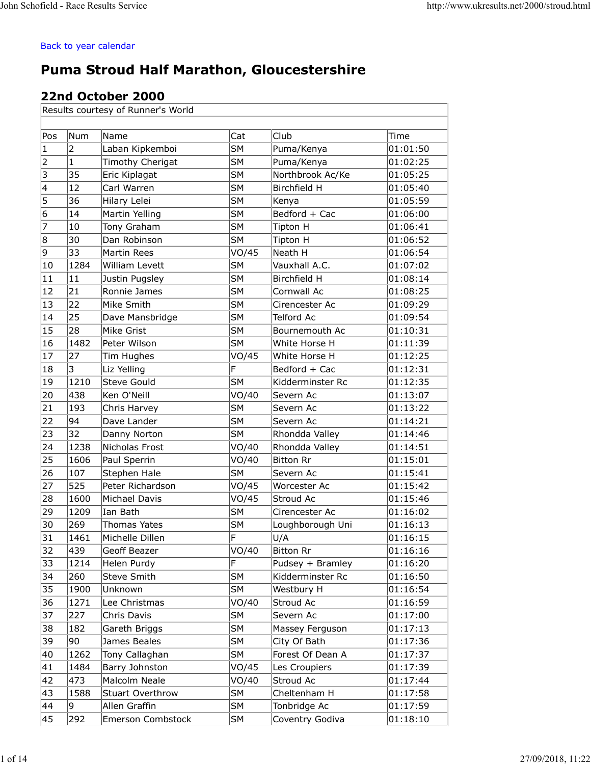## Puma Stroud Half Marathon, Gloucestershire John Schofield - Race Results Service<br>Back to year calendar<br>**Burnal Stroud Half Marathen** Glougestorshire

## 22nd October 2000

|                         | Back to year calendar | field - Race Results Service                      |                        |                                   |                                           |
|-------------------------|-----------------------|---------------------------------------------------|------------------------|-----------------------------------|-------------------------------------------|
|                         |                       |                                                   |                        |                                   |                                           |
|                         |                       |                                                   |                        |                                   | http://www.ukresults.net/2000/stroud.html |
|                         |                       |                                                   |                        |                                   |                                           |
|                         |                       |                                                   |                        |                                   |                                           |
|                         |                       |                                                   |                        |                                   |                                           |
|                         |                       |                                                   |                        |                                   |                                           |
|                         |                       | <b>Puma Stroud Half Marathon, Gloucestershire</b> |                        |                                   |                                           |
|                         |                       |                                                   |                        |                                   |                                           |
|                         |                       | 22nd October 2000                                 |                        |                                   |                                           |
|                         |                       | Results courtesy of Runner's World                |                        |                                   |                                           |
|                         |                       |                                                   |                        |                                   |                                           |
| Pos                     | Num                   | Name                                              | Cat                    | Club                              | Time                                      |
| 1<br>2                  | 2                     | Laban Kipkemboi<br>Timothy Cherigat               | <b>SM</b><br><b>SM</b> | Puma/Kenya<br>Puma/Kenya          | 01:01:50<br>01:02:25                      |
| $\overline{\mathsf{3}}$ | 35                    | Eric Kiplagat                                     | <b>SM</b>              | Northbrook Ac/Ke                  | 01:05:25                                  |
| 4                       | 12                    | Carl Warren                                       | <b>SM</b>              | Birchfield H                      | 01:05:40                                  |
| $\overline{5}$          | 36                    | Hilary Lelei                                      | <b>SM</b>              | Kenya                             | 01:05:59                                  |
| $6\overline{6}$         | 14                    | Martin Yelling                                    | <b>SM</b>              | Bedford + Cac                     | 01:06:00                                  |
| 7                       | 10                    | Tony Graham                                       | <b>SM</b>              | Tipton H                          | 01:06:41                                  |
| 8                       | 30                    | Dan Robinson                                      | <b>SM</b>              | Tipton H                          | 01:06:52                                  |
| 9                       | 33                    | Martin Rees                                       | VO/45                  | Neath H                           | 01:06:54                                  |
| 10                      | 1284                  | William Levett                                    | <b>SM</b>              | Vauxhall A.C.                     | 01:07:02                                  |
| 11                      | 11                    | Justin Pugsley                                    | <b>SM</b>              | <b>Birchfield H</b>               | 01:08:14                                  |
| 12                      | 21                    | Ronnie James                                      | <b>SM</b>              | Cornwall Ac                       | 01:08:25                                  |
| 13                      | 22                    | Mike Smith                                        | <b>SM</b>              | Cirencester Ac                    | 01:09:29                                  |
| 14                      | 25<br>28              | Dave Mansbridge                                   | <b>SM</b>              | Telford Ac                        | 01:09:54                                  |
| 15<br>16                | 1482                  | Mike Grist<br>Peter Wilson                        | <b>SM</b><br><b>SM</b> | Bournemouth Ac<br>White Horse H   | 01:10:31<br>01:11:39                      |
| 17                      | 27                    | Tim Hughes                                        | VO/45                  | White Horse H                     | 01:12:25                                  |
| 18                      | 3                     | Liz Yelling                                       |                        | Bedford + Cac                     | 01:12:31                                  |
| 19                      | 1210                  | Steve Gould                                       | <b>SM</b>              | Kidderminster Rc                  | 01:12:35                                  |
| 20                      | 438                   | Ken O'Neill                                       | VO/40                  | Severn Ac                         | 01:13:07                                  |
| 21                      | 193                   | Chris Harvey                                      | <b>SM</b>              | Severn Ac                         | 01:13:22                                  |
| 22                      | 94                    | Dave Lander                                       | <b>SM</b>              | Severn Ac                         | 01:14:21                                  |
| 23                      | 32                    | Danny Norton                                      | <b>SM</b>              | Rhondda Valley                    | 01:14:46                                  |
| 24                      | 1238                  | Nicholas Frost                                    | VO/40                  | Rhondda Valley                    | 01:14:51                                  |
| 25                      | 1606                  | Paul Sperrin                                      | VO/40                  | Bitton Rr                         | 01:15:01                                  |
| 26                      | 107                   | Stephen Hale                                      | <b>SM</b>              | Severn Ac                         | 01:15:41                                  |
| 27<br>28                | 525<br>1600           | Peter Richardson<br>Michael Davis                 | VO/45<br>VO/45         | Worcester Ac<br>Stroud Ac         | 01:15:42<br>01:15:46                      |
| 29                      | 1209                  | Ian Bath                                          | <b>SM</b>              | Cirencester Ac                    | 01:16:02                                  |
| 30                      | 269                   | Thomas Yates                                      | <b>SM</b>              | Loughborough Uni                  | 01:16:13                                  |
| 31                      | 1461                  | Michelle Dillen                                   | F.                     | U/A                               | 01:16:15                                  |
| 32                      | 439                   | Geoff Beazer                                      | VO/40                  | Bitton Rr                         | 01:16:16                                  |
| 33                      | 1214                  | Helen Purdy                                       | F                      | Pudsey + Bramley                  | 01:16:20                                  |
| 34                      | 260                   | <b>Steve Smith</b>                                | <b>SM</b>              | Kidderminster Rc                  | 01:16:50                                  |
| 35                      | 1900                  | Unknown                                           | <b>SM</b>              | Westbury H                        | 01:16:54                                  |
| 36                      | 1271                  | Lee Christmas                                     | VO/40                  | Stroud Ac                         | 01:16:59                                  |
| 37                      | 227                   | Chris Davis                                       | SM                     | Severn Ac                         | 01:17:00                                  |
| 38                      | 182                   | Gareth Briggs                                     | <b>SM</b>              | Massey Ferguson                   | 01:17:13                                  |
| 39                      | 90                    | James Beales                                      | <b>SM</b>              | City Of Bath                      | 01:17:36                                  |
| 40<br>41                | 1262<br>1484          | Tony Callaghan<br>Barry Johnston                  | <b>SM</b><br>VO/45     | Forest Of Dean A<br>Les Croupiers | 01:17:37<br>01:17:39                      |
| 42                      | 473                   | Malcolm Neale                                     | VO/40                  | Stroud Ac                         | 01:17:44                                  |
| 43                      | 1588                  | Stuart Overthrow                                  | <b>SM</b>              | Cheltenham H                      | 01:17:58                                  |
|                         | 9                     | Allen Graffin                                     | <b>SM</b>              | Tonbridge Ac                      | 01:17:59                                  |
| 44                      | 292                   | Emerson Combstock                                 | SM                     | Coventry Godiva                   |                                           |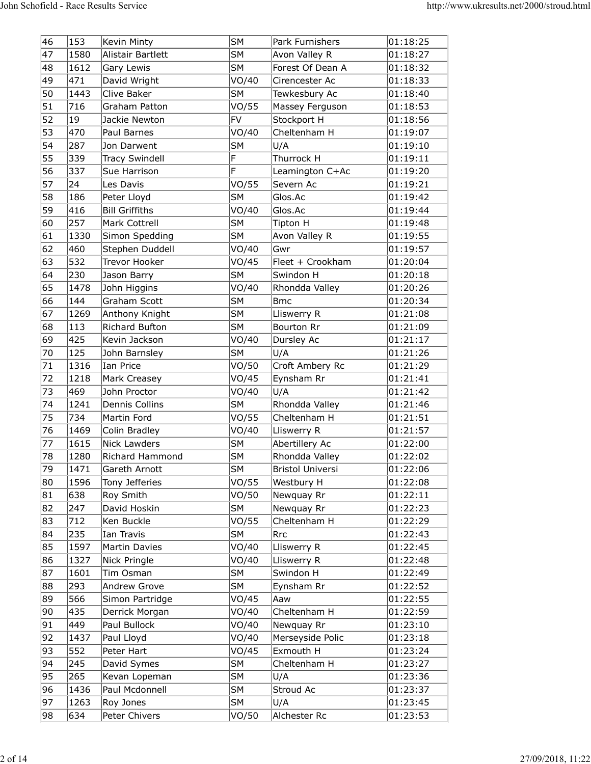|                       |              | John Schofield - Race Results Service |                |                                    |                                           |
|-----------------------|--------------|---------------------------------------|----------------|------------------------------------|-------------------------------------------|
|                       |              |                                       |                |                                    | http://www.ukresults.net/2000/stroud.html |
| 46                    | 153          | Kevin Minty                           | <b>SM</b>      | Park Furnishers                    | 01:18:25                                  |
| 47                    | 1580         | Alistair Bartlett                     | SM             | Avon Valley R                      | 01:18:27                                  |
| 48<br>49              | 1612<br>471  | Gary Lewis<br>David Wright            | SM <br>VO/40   | Forest Of Dean A<br>Cirencester Ac | 01:18:32<br> 01:18:33                     |
| 50                    | 1443         | Clive Baker                           | SM             | Tewkesbury Ac                      | 01:18:40                                  |
| 51                    | 716          | Graham Patton                         | VO/55          | Massey Ferguson                    | 01:18:53                                  |
| 52<br>53              | 19<br>470    | Jackie Newton<br>Paul Barnes          | FV<br>VO/40    | Stockport H<br>Cheltenham H        | 01:18:56<br> 01:19:07                     |
| 54                    | 287          | Jon Darwent                           | SM             | U/A                                | 01:19:10                                  |
| 55                    | 339          | Tracy Swindell                        | E              | Thurrock H                         | 01:19:11                                  |
| 56                    | 337          | Sue Harrison                          |                | Leamington C+Ac                    | 01:19:20                                  |
| $\overline{57}$<br>58 | 24<br>186    | Les Davis<br>Peter Lloyd              | VO/55<br>SM    | Severn Ac<br>Glos.Ac               | 01:19:21<br> 01:19:42                     |
| 59                    | 416          | <b>Bill Griffiths</b>                 | VO/40          | Glos.Ac                            | 01:19:44                                  |
| 60                    | 257          | Mark Cottrell                         | SM             | Tipton H                           | 01:19:48                                  |
| 61<br>62              | 1330<br>460  | Simon Spedding<br>Stephen Duddell     | SM <br>VO/40   | Avon Valley R<br>Gwr               | 01:19:55 <br> 01:19:57                    |
| 63                    | 532          | Trevor Hooker                         | VO/45          | Fleet + Crookham                   | 01:20:04                                  |
| 64                    | 230          | Jason Barry                           | SM             | Swindon H                          | 01:20:18                                  |
| 65                    | 1478         | John Higgins                          | VO/40          | Rhondda Valley                     | 01:20:26                                  |
| 66<br>67              | 144<br>1269  | Graham Scott<br>Anthony Knight        | SM <br>SM      | Bmc<br>Lliswerry R                 | 01:20:34<br> 01:21:08                     |
| 68                    | 113          | Richard Bufton                        | SM             | Bourton Rr                         | 01:21:09                                  |
| 69                    | 425          | Kevin Jackson                         | VO/40          | Dursley Ac                         | 01:21:17                                  |
| 70<br>71              | 125<br>1316  | John Barnsley<br>Ian Price            | SM <br>VO/50   | U/A<br>Croft Ambery Rc             | 01:21:26<br>01:21:29                      |
| 72                    | 1218         | Mark Creasey                          | VO/45          | Eynsham Rr                         | 01:21:41                                  |
| 73                    | 469          | John Proctor                          | VO/40          | U/A                                | 01:21:42                                  |
| 74<br>75              | 1241<br>734  | Dennis Collins<br>Martin Ford         | SM             | Rhondda Valley<br>Cheltenham H     | 01:21:46                                  |
| 76                    | 1469         | Colin Bradley                         | VO/55<br>VO/40 | Lliswerry R                        | 01:21:51<br> 01:21:57                     |
| 77                    | 1615         | Nick Lawders                          | SM             | Abertillery Ac                     | 01:22:00                                  |
| 78                    | 1280         | Richard Hammond                       | SM             | Rhondda Valley                     | 01:22:02                                  |
| 79<br>80              | 1471<br>1596 | Gareth Arnott<br>Tony Jefferies       | SM <br>VO/55   | Bristol Universi<br>Westbury H     | 01:22:06<br>01:22:08                      |
| 81                    | 638          | Roy Smith                             | VO/50          | Newquay Rr                         | 01:22:11                                  |
| 82                    | 247          | David Hoskin                          | SM             | Newquay Rr                         | 01:22:23                                  |
| 83<br>84              | 712<br>235   | Ken Buckle<br>Ian Travis              | VO/55<br>SM    | Cheltenham H<br> Rrc               | 01:22:29<br>01:22:43                      |
| 85                    | 1597         | Martin Davies                         | VO/40          | Lliswerry R                        | 01:22:45                                  |
| 86                    | 1327         | Nick Pringle                          | VO/40          | Lliswerry R                        | 01:22:48                                  |
| 87<br>88              | 1601<br>293  | Tim Osman<br>Andrew Grove             | SM <br>SM      | Swindon H<br>Eynsham Rr            | 01:22:49<br> 01:22:52                     |
| 89                    | 566          | Simon Partridge                       | VO/45          | Aaw                                | 01:22:55                                  |
| 90                    | 435          | Derrick Morgan                        | VO/40          | Cheltenham H                       | 01:22:59                                  |
| 91                    | 449          | Paul Bullock                          | VO/40          | Newquay Rr                         | 01:23:10                                  |
| $\overline{92}$<br>93 | 1437<br>552  | Paul Lloyd<br>Peter Hart              | VO/40<br>VO/45 | Merseyside Polic<br>Exmouth H      | 01:23:18<br> 01:23:24                     |
| 94                    | 245          | David Symes                           | SM             | Cheltenham H                       | 01:23:27                                  |
| 95                    | 265          | Kevan Lopeman                         | SM             | U/A                                | 01:23:36                                  |
| 96<br>97              | 1436<br>1263 | Paul Mcdonnell<br>Roy Jones           | SM <br>SM      | Stroud Ac<br>U/A                   | 01:23:37<br> 01:23:45                     |
| 98                    | 634          | Peter Chivers                         | VO/50          | Alchester Rc                       | 01:23:53                                  |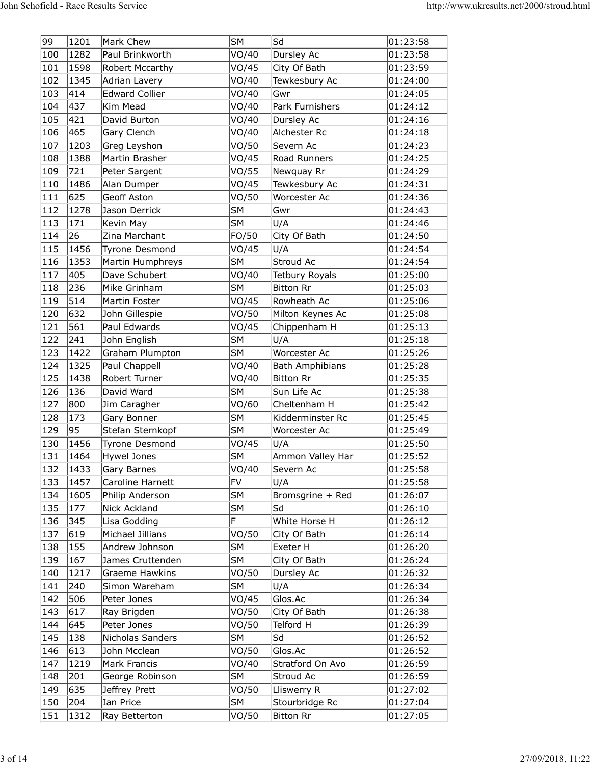| 99                   | 1201         | Mark Chew                          | <b>SM</b>      | Sd                               | 01:23:58              |
|----------------------|--------------|------------------------------------|----------------|----------------------------------|-----------------------|
| 100<br>101           | 1282<br>1598 | Paul Brinkworth<br>Robert Mccarthy | VO/40<br>VO/45 | Dursley Ac<br>City Of Bath       | 01:23:58<br> 01:23:59 |
| 102                  | 1345         | Adrian Lavery                      | VO/40          | Tewkesbury Ac                    | 01:24:00              |
| 103                  | 414          | Edward Collier                     | VO/40          | Gwr                              | 01:24:05              |
| 104                  | 437          | Kim Mead                           | VO/40          | Park Furnishers                  | 01:24:12              |
| 105<br>106           | 421<br>465   | David Burton<br>Gary Clench        | VO/40<br>VO/40 | Dursley Ac<br>Alchester Rc       | 01:24:16<br> 01:24:18 |
| 107                  | 1203         | Greg Leyshon                       | VO/50          | Severn Ac                        | 01:24:23              |
| 108                  | 1388         | Martin Brasher                     | VO/45          | Road Runners                     | 01:24:25              |
| 109                  | 721          | Peter Sargent                      | VO/55          | Newquay Rr                       | 01:24:29              |
| $ 110\rangle$<br>111 | 1486<br>625  | Alan Dumper<br>Geoff Aston         | VO/45<br>VO/50 | Tewkesbury Ac<br>Worcester Ac    | 01:24:31<br>01:24:36  |
| 112                  | 1278         | Jason Derrick                      | SM             | Gwr                              | 01:24:43              |
| 113                  | 171          | Kevin May                          | SM             | U/A                              | 01:24:46              |
| 114                  | 26           | Zina Marchant                      | FO/50          | City Of Bath                     | 01:24:50              |
| 115                  | 1456         | Tyrone Desmond                     | VO/45          | U/A                              | 01:24:54              |
| 116<br> 117          | 1353<br>405  | Martin Humphreys<br>Dave Schubert  | SM <br>VO/40   | Stroud Ac<br>Tetbury Royals      | 01:24:54<br> 01:25:00 |
| 118                  | 236          | Mike Grinham                       | SM             | Bitton Rr                        | 01:25:03              |
| 119                  | 514          | Martin Foster                      | VO/45          | Rowheath Ac                      | 01:25:06              |
| 120                  | 632          | John Gillespie                     | VO/50          | Milton Keynes Ac                 | 01:25:08              |
| 121<br>122           | 561<br> 241  | Paul Edwards<br>John English       | VO/45<br> SM   | Chippenham H<br>U/A              | 01:25:13<br> 01:25:18 |
| 123                  | 1422         | Graham Plumpton                    | SM             | Worcester Ac                     | 01:25:26              |
| 124                  | 1325         | Paul Chappell                      | VO/40          | Bath Amphibians                  | 01:25:28              |
| 125                  | 1438         | Robert Turner                      | VO/40          | Bitton Rr                        | 01:25:35              |
| 126                  | 136          | David Ward                         | SM             | Sun Life Ac                      | 01:25:38              |
| 127<br>128           | 800<br> 173  | Jim Caragher<br>Gary Bonner        | VO/60<br>SM    | Cheltenham H<br>Kidderminster Rc | 01:25:42<br> 01:25:45 |
| 129                  | 95           | Stefan Sternkopf                   | SM             | Worcester Ac                     | 01:25:49              |
| 130                  | 1456         | Tyrone Desmond                     | VO/45          | U/A                              | 01:25:50              |
| 131                  | 1464         | Hywel Jones                        | SM             | Ammon Valley Har                 | 01:25:52              |
| 132<br>133           | 1433<br>1457 | Gary Barnes<br>Caroline Harnett    | VO/40<br> FV   | Severn Ac<br>U/A                 | 01:25:58<br> 01:25:58 |
| 134                  | 1605         | Philip Anderson                    | SM             | Bromsgrine + Red                 | 01:26:07              |
| 135                  | 177          | Nick Ackland                       | SM             | Sd                               | 01:26:10              |
| 136                  | 345          | Lisa Godding                       | F.             | White Horse H                    | 01:26:12              |
| 137                  | 619          | Michael Jillians                   | VO/50          | City Of Bath                     | 01:26:14              |
| 138<br>139           | 155<br>167   | Andrew Johnson<br>James Cruttenden | SM <br>SM      | Exeter H<br>City Of Bath         | 01:26:20<br> 01:26:24 |
| 140                  | 1217         | Graeme Hawkins                     | VO/50          | Dursley Ac                       | 01:26:32              |
| 141                  | 240          | Simon Wareham                      | SM             | U/A                              | 01:26:34              |
| 142                  | 506          | Peter Jones                        | VO/45          | Glos.Ac                          | 01:26:34              |
| 143<br>144           | 617<br>645   | Ray Brigden<br>Peter Jones         | VO/50<br>VO/50 | City Of Bath<br>Telford H        | 01:26:38<br>01:26:39  |
| 145                  | 138          | Nicholas Sanders                   | SM             | Sd                               | 01:26:52              |
| 146                  | 613          | John Mcclean                       | VO/50          | Glos.Ac                          | 01:26:52              |
| 147                  | 1219         | Mark Francis                       | VO/40          | Stratford On Avo                 | 01:26:59              |
| 148<br>149           | 201<br>635   | George Robinson                    | SM             | Stroud Ac                        | 01:26:59              |
| 150                  | 204          | Jeffrey Prett<br>Ian Price         | VO/50<br> SM   | Lliswerry R<br>Stourbridge Rc    | 01:27:02<br> 01:27:04 |
| 151                  | 1312         | Ray Betterton                      | VO/50          | Bitton Rr                        | 01:27:05              |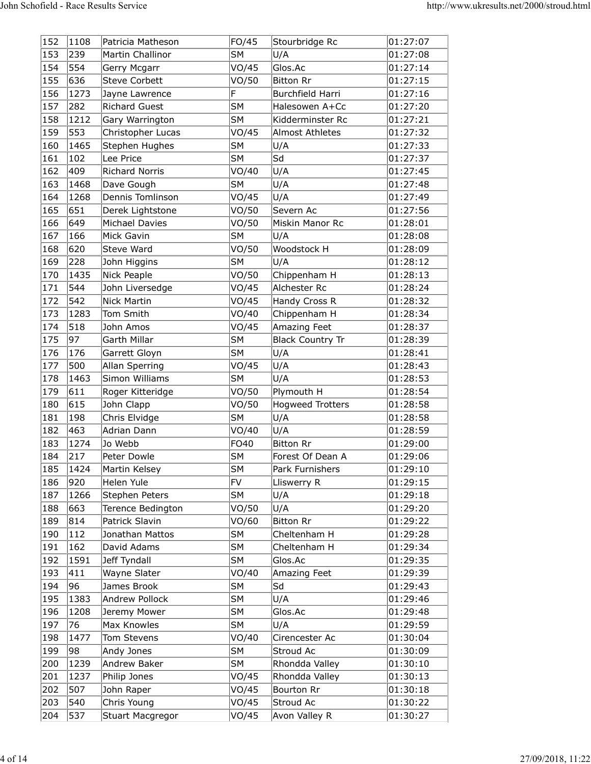|            |                         | John Schofield - Race Results Service |                |                              |                                           |
|------------|-------------------------|---------------------------------------|----------------|------------------------------|-------------------------------------------|
|            |                         |                                       |                |                              | http://www.ukresults.net/2000/stroud.html |
| 152        | 1108                    | Patricia Matheson                     | FO/45          | Stourbridge Rc               | 01:27:07                                  |
| 153        | 239                     | Martin Challinor                      | <b>SM</b>      | U/A                          | 01:27:08                                  |
| 154<br>155 | 554<br>636              | Gerry Mcgarr<br>Steve Corbett         | VO/45<br>VO/50 | Glos.Ac<br>Bitton Rr         | 01:27:14<br> 01:27:15                     |
| 156        | 1273                    | Jayne Lawrence                        | F              | Burchfield Harri             | 01:27:16                                  |
| 157        | 282                     | Richard Guest                         | <b>SM</b>      | Halesowen A+Cc               | 01:27:20                                  |
| 158        | 1212                    | Gary Warrington                       | <b>SM</b>      | Kidderminster Rc             | 01:27:21                                  |
| 159<br>160 | 553<br>1465             | Christopher Lucas<br>Stephen Hughes   | VO/45<br> SM   | Almost Athletes<br>U/A       | 01:27:32<br> 01:27:33                     |
| 161        | 102                     | Lee Price                             | SM             | lsd                          | 01:27:37                                  |
| 162        | 409                     | Richard Norris                        | VO/40          | U/A                          | 01:27:45                                  |
| 163        | 1468                    | Dave Gough                            | SM             | U/A                          | 01:27:48                                  |
| 164        | 1268                    | Dennis Tomlinson                      | VO/45          | U/A                          | 01:27:49                                  |
| 165<br>166 | 651<br>649              | Derek Lightstone<br>Michael Davies    | VO/50<br>VO/50 | Severn Ac<br>Miskin Manor Rc | 01:27:56<br> 01:28:01                     |
| 167        | 166                     | Mick Gavin                            | SM             | U/A                          | 01:28:08                                  |
| 168        | 620                     | Steve Ward                            | VO/50          | Woodstock H                  | 01:28:09                                  |
| 169        | 228                     | John Higgins                          | SM             | U/A                          | 01:28:12                                  |
| 170<br>171 | 1435<br>544             | Nick Peaple<br>John Liversedge        | VO/50<br>VO/45 | Chippenham H<br>Alchester Rc | 01:28:13<br> 01:28:24                     |
| 172        | 542                     | Nick Martin                           | VO/45          | Handy Cross R                | 01:28:32                                  |
| 173        | 1283                    | Tom Smith                             | VO/40          | Chippenham H                 | 01:28:34                                  |
| 174        | 518                     | John Amos                             | VO/45          | Amazing Feet                 | 01:28:37                                  |
| 175<br>176 | 97<br>176               | Garth Millar                          | SM<br>SM       | Black Country Tr             | 01:28:39                                  |
| 177        | 500                     | Garrett Gloyn<br>Allan Sperring       | VO/45          | U/A<br>U/A                   | 01:28:41<br> 01:28:43                     |
| 178        | 1463                    | Simon Williams                        | SM             | U/A                          | 01:28:53                                  |
| 179        | 611                     | Roger Kitteridge                      | VO/50          | Plymouth H                   | 01:28:54                                  |
| 180        | 615                     | John Clapp                            | VO/50          | <b>Hogweed Trotters</b>      | 01:28:58                                  |
| 181<br>182 | 198<br>463              | Chris Elvidge<br>Adrian Dann          | SM<br>VO/40    | U/A<br>U/A                   | 01:28:58<br> 01:28:59                     |
| 183        | 1274                    | Jo Webb                               | FO40           | Bitton Rr                    | 01:29:00                                  |
| 184        | 217                     | Peter Dowle                           | SM             | Forest Of Dean A             | 01:29:06                                  |
| 185        | 1424                    | Martin Kelsey                         | SM             | Park Furnishers              | 01:29:10                                  |
| 186<br>187 | 920<br>1266             | Helen Yule<br>Stephen Peters          | FV<br>SM       | Lliswerry R<br>U/A           | 01:29:15<br> 01:29:18                     |
| 188        | 663                     | Terence Bedington                     | VO/50          | U/A                          | 01:29:20                                  |
| 189        | 814                     | Patrick Slavin                        | VO/60          | Bitton Rr                    | 01:29:22                                  |
| 190        | 112                     | Jonathan Mattos                       | SM             | Cheltenham H                 | 01:29:28                                  |
| 191<br>192 | 162<br>1591             | David Adams<br>Jeff Tyndall           | SM<br>SM       | Cheltenham H<br>Glos.Ac      | 01:29:34<br> 01:29:35                     |
| 193        | 411                     | Wayne Slater                          | VO/40          | Amazing Feet                 | 01:29:39                                  |
| 194        | 96                      | James Brook                           | SM             | Sd                           | 01:29:43                                  |
| 195        | 1383                    | Andrew Pollock                        | SM             | U/A                          | 01:29:46                                  |
| 196        | 1208                    | Jeremy Mower                          | SM             | Glos.Ac                      | 01:29:48                                  |
| 197<br>198 | $\overline{76}$<br>1477 | Max Knowles<br>Tom Stevens            | SM <br>VO/40   | U/A<br>Cirencester Ac        | 01:29:59<br> 01:30:04                     |
| 199        | 98                      | Andy Jones                            | SM             | Stroud Ac                    | 01:30:09                                  |
| 200        | 1239                    | Andrew Baker                          | SM             | Rhondda Valley               | 01:30:10                                  |
| 201        | 1237                    | Philip Jones                          | VO/45          | Rhondda Valley               | 01:30:13                                  |
| 202<br>203 | 507<br>540              | John Raper<br>Chris Young             | VO/45          | Bourton Rr<br>Stroud Ac      | 01:30:18                                  |
|            | 537                     | Stuart Macgregor                      | VO/45          |                              | 01:30:22                                  |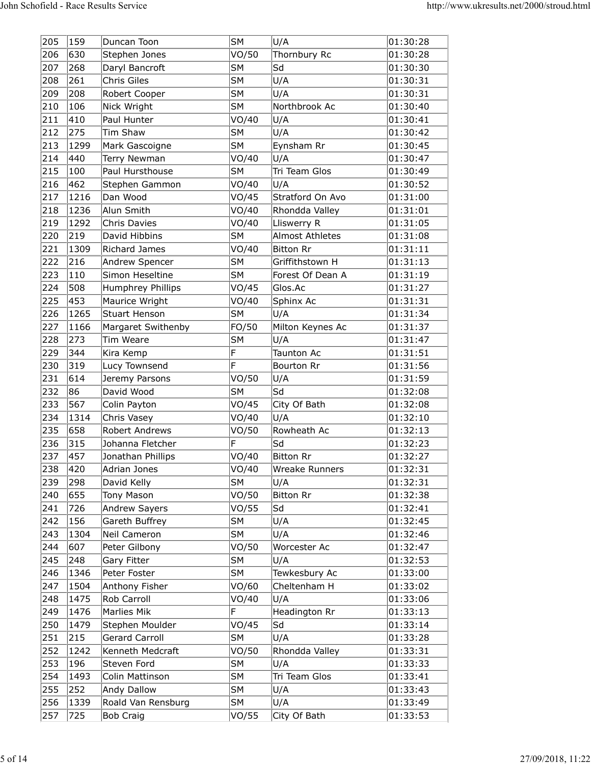|              |              | John Schofield - Race Results Service |                |                              |                                           |
|--------------|--------------|---------------------------------------|----------------|------------------------------|-------------------------------------------|
|              |              |                                       |                |                              | http://www.ukresults.net/2000/stroud.html |
| 205          | 159          | Duncan Toon                           | <b>SM</b>      | U/A                          | 01:30:28                                  |
| 206          | 630          | Stephen Jones                         | VO/50          | Thornbury Rc                 | 01:30:28                                  |
| 207          | 268          | Daryl Bancroft                        | SM             | Sd                           | 01:30:30                                  |
| 208<br>209   | 261<br>208   | Chris Giles<br>Robert Cooper          | SM <br>SM      | U/A<br>U/A                   | 01:30:31<br> 01:30:31                     |
| 210          | 106          | Nick Wright                           | SM             | Northbrook Ac                | 01:30:40                                  |
| 211          | 410          | Paul Hunter                           | VO/40          | U/A                          | 01:30:41                                  |
| 212<br>213   | 275<br>1299  | Tim Shaw<br>Mark Gascoigne            | SM <br> SM     | U/A<br>Eynsham Rr            | 01:30:42<br>01:30:45                      |
| 214          | 440          | Terry Newman                          | VO/40          | U/A                          | 01:30:47                                  |
| 215          | 100          | Paul Hursthouse                       | SM             | Tri Team Glos                | 01:30:49                                  |
| 216<br>217   | 462          | Stephen Gammon<br>Dan Wood            | VO/40          | U/A<br>Stratford On Avo      | 01:30:52                                  |
| 218          | 1216<br>1236 | Alun Smith                            | VO/45<br>VO/40 | Rhondda Valley               | 01:31:00<br> 01:31:01                     |
| 219          | 1292         | Chris Davies                          | VO/40          | Lliswerry R                  | 01:31:05                                  |
| 220          | 219          | David Hibbins                         | SM             | Almost Athletes              | 01:31:08                                  |
| 221<br>222   | 1309<br>216  | Richard James<br>Andrew Spencer       | VO/40<br> SM   | Bitton Rr<br>Griffithstown H | 01:31:11<br> 01:31:13                     |
| 223          | 110          | Simon Heseltine                       | SM             | Forest Of Dean A             | 01:31:19                                  |
| 224          | 508          | Humphrey Phillips                     | VO/45          | Glos.Ac                      | 01:31:27                                  |
| 225<br>226   | 453<br>1265  | Maurice Wright<br>Stuart Henson       | VO/40<br>SM    | Sphinx Ac<br>U/A             | 01:31:31<br> 01:31:34                     |
| 227          | 1166         | Margaret Swithenby                    | FO/50          | Milton Keynes Ac             | 01:31:37                                  |
| 228          | 273          | Tim Weare                             | SM             | U/A                          | 01:31:47                                  |
| 229          | 344          | Kira Kemp                             | E              | Taunton Ac                   | 01:31:51                                  |
| 230<br>231   | 319<br> 614  | Lucy Townsend<br>Jeremy Parsons       | F.<br>VO/50    | Bourton Rr<br>U/A            | 01:31:56<br> 01:31:59                     |
| 232          | 86           | David Wood                            | SM             | Sd                           | 01:32:08                                  |
| 233          | 567          | Colin Payton                          | VO/45          | City Of Bath                 | 01:32:08                                  |
| 234<br>235   | 1314<br>658  | Chris Vasey<br>Robert Andrews         | VO/40<br>VO/50 | U/A<br>Rowheath Ac           | 01:32:10<br> 01:32:13                     |
| 236          | 315          | Johanna Fletcher                      | F              | Sd                           | 01:32:23                                  |
| 237          | 457          | Jonathan Phillips                     | VO/40          | Bitton Rr                    | 01:32:27                                  |
| 238          | 420          | Adrian Jones                          | VO/40          | Wreake Runners               | 01:32:31                                  |
| 239<br>240   | 298<br>655   | David Kelly<br>Tony Mason             | SM <br>VO/50   | U/A<br>Bitton Rr             | 01:32:31<br>01:32:38                      |
| 241          | 726          | Andrew Sayers                         | VO/55          | Sd                           | 01:32:41                                  |
| 242          | 156          | Gareth Buffrey                        | SM             | U/A                          | 01:32:45                                  |
| 243<br>244   | 1304<br>607  | Neil Cameron<br>Peter Gilbony         | SM<br>VO/50    | U/A<br>Worcester Ac          | 01:32:46<br>01:32:47                      |
| 245          | 248          | Gary Fitter                           | SM             | U/A                          | 01:32:53                                  |
| 246          | 1346         | Peter Foster                          | SM             | Tewkesbury Ac                | 01:33:00                                  |
| 247<br>248   | 1504<br>1475 | Anthony Fisher<br>Rob Carroll         | VO/60          | Cheltenham H<br>U/A          | 01:33:02                                  |
| 249          | 1476         | Marlies Mik                           | VO/40<br>F     | Headington Rr                | 01:33:06<br> 01:33:13                     |
| $\sqrt{250}$ | 1479         | Stephen Moulder                       | VO/45          | Sd                           | 01:33:14                                  |
| 251          | 215          | Gerard Carroll                        | SM             | U/A                          | 01:33:28                                  |
| 252<br>253   | 1242<br>196  | Kenneth Medcraft<br>Steven Ford       | VO/50<br>SM    | Rhondda Valley<br>U/A        | 01:33:31 <br> 01:33:33                    |
| 254          | 1493         | Colin Mattinson                       | SM             | Tri Team Glos                | 01:33:41                                  |
| 255          | 252          | Andy Dallow                           | <b>SM</b>      | U/A                          | 01:33:43                                  |
| 256          | 1339<br>725  | Roald Van Rensburg<br>Bob Craig       | SM             | U/A                          | 01:33:49                                  |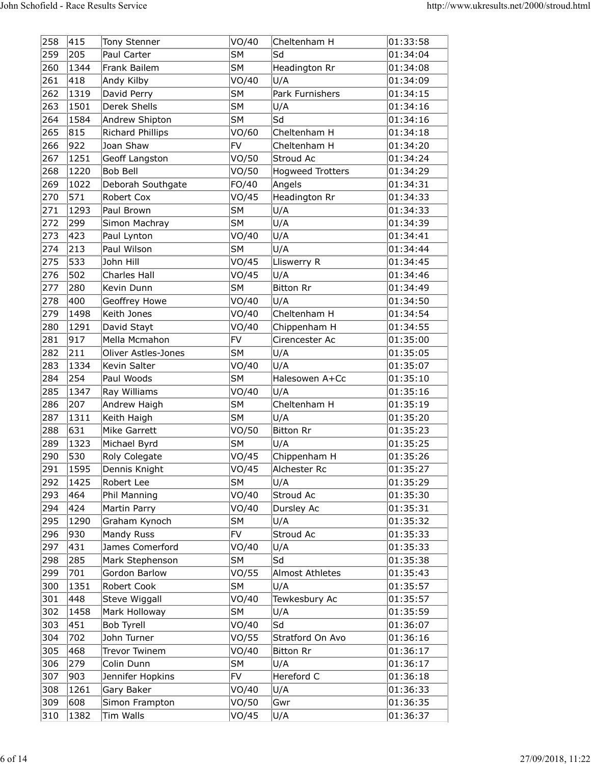|            |               | John Schofield - Race Results Service |                |                                 | http://www.ukresults.net/2000/stroud.html |
|------------|---------------|---------------------------------------|----------------|---------------------------------|-------------------------------------------|
|            |               |                                       |                |                                 |                                           |
| 258        | 415           | Tony Stenner                          | VO/40          | Cheltenham H                    | 01:33:58                                  |
| 259        | 205           | Paul Carter                           | SM             | lSd                             | 01:34:04                                  |
| 260<br>261 | 1344<br>418   | Frank Bailem<br>Andy Kilby            | SM<br>VO/40    | Headington Rr<br>U/A            | 01:34:08<br> 01:34:09                     |
| 262        | 1319          | David Perry                           | SM             | Park Furnishers                 | 01:34:15                                  |
| 263        | 1501          | Derek Shells                          | SM             | U/A                             | 01:34:16                                  |
| 264        | 1584          | Andrew Shipton                        | SM             | $\overline{\mathsf{Sd}}$        | 01:34:16                                  |
| 265<br>266 | 815<br>922    | Richard Phillips<br>Joan Shaw         | VO/60<br> FV   | Cheltenham H<br>Cheltenham H    | 01:34:18<br>01:34:20                      |
| 267        | 1251          | Geoff Langston                        | VO/50          | Stroud Ac                       | 01:34:24                                  |
| 268        | 1220          | Bob Bell                              | VO/50          | <b>Hogweed Trotters</b>         | 01:34:29                                  |
| 269        | 1022          | Deborah Southgate                     | FO/40          | Angels                          | 01:34:31                                  |
| 270<br>271 | 571<br>1293   | Robert Cox<br>Paul Brown              | VO/45<br>SM    | Headington Rr<br>U/A            | 01:34:33<br> 01:34:33                     |
| 272        | 299           | Simon Machray                         | SM             | U/A                             | 01:34:39                                  |
| 273        | 423           | Paul Lynton                           | VO/40          | U/A                             | 01:34:41                                  |
| 274        | 213           | Paul Wilson                           | SM             | U/A                             | 01:34:44                                  |
| 275<br>276 | 533<br>502    | John Hill<br>Charles Hall             | VO/45<br>VO/45 | Lliswerry R<br>U/A              | 01:34:45<br>01:34:46                      |
| 277        | 280           | Kevin Dunn                            | SM             | Bitton Rr                       | 01:34:49                                  |
| 278        | 400           | Geoffrey Howe                         | VO/40          | U/A                             | 01:34:50                                  |
| 279        | 1498          | Keith Jones                           | VO/40          | Cheltenham H                    | 01:34:54                                  |
| 280        | 1291          | David Stayt                           | VO/40          | Chippenham H                    | 01:34:55                                  |
| 281<br>282 | 917<br>211    | Mella Mcmahon<br>Oliver Astles-Jones  | FV<br>SM       | Cirencester Ac<br>U/A           | 01:35:00<br> 01:35:05                     |
| 283        | 1334          | Kevin Salter                          | VO/40          | U/A                             | 01:35:07                                  |
| 284        | 254           | Paul Woods                            | SM             | Halesowen A+Cc                  | 01:35:10                                  |
| 285        | 1347          | Ray Williams                          | VO/40          | U/A                             | 01:35:16                                  |
| 286<br>287 | 207<br>1311   | Andrew Haigh<br>Keith Haigh           | SM <br> SM     | Cheltenham H<br>U/A             | 01:35:19<br>01:35:20                      |
| 288        | 631           | Mike Garrett                          | VO/50          | Bitton Rr                       | 01:35:23                                  |
| 289        | 1323          | Michael Byrd                          | SM             | U/A                             | 01:35:25                                  |
| 290        | 530           | Roly Colegate                         | VO/45          | Chippenham H                    | 01:35:26                                  |
| 291<br>292 | 1595<br>1425  | Dennis Knight<br>Robert Lee           | VO/45<br>SM    | Alchester Rc<br>U/A             | 01:35:27<br>01:35:29                      |
| 293        | 464           | Phil Manning                          | VO/40          | Stroud Ac                       | 01:35:30                                  |
| 294        | 424           | Martin Parry                          | VO/40          | Dursley Ac                      | 01:35:31                                  |
| 295        | 1290          | Graham Kynoch                         | SM             | U/A                             | 01:35:32                                  |
| 296        | 930<br>431    | Mandy Russ<br>James Comerford         | FV<br>VO/40    | Stroud Ac                       | 01:35:33                                  |
| 297<br>298 | 285           | Mark Stephenson                       | SM             | U/A<br>Sd                       | 01:35:33<br> 01:35:38                     |
| 299        | 701           | Gordon Barlow                         | VO/55          | Almost Athletes                 | 01:35:43                                  |
| 300        | 1351          | Robert Cook                           | SM             | U/A                             | 01:35:57                                  |
| 301        | 448           | Steve Wiggall                         | VO/40          | Tewkesbury Ac                   | 01:35:57                                  |
| 302<br>303 | 1458 <br> 451 | Mark Holloway<br><b>Bob Tyrell</b>    | SM <br>VO/40   | U/A<br>$\overline{\mathsf{Sd}}$ | 01:35:59<br>01:36:07                      |
| 304        | 702           | John Turner                           | VO/55          | Stratford On Avo                | 01:36:16                                  |
| 305        | 468           | Trevor Twinem                         | VO/40          | Bitton Rr                       | 01:36:17                                  |
| 306        | 279           | Colin Dunn                            | SM             | U/A                             | 01:36:17                                  |
| 307<br>308 | 903<br>1261   | Jennifer Hopkins<br>Gary Baker        | FV<br>VO/40    | Hereford C<br>U/A               | 01:36:18<br> 01:36:33                     |
| 309        | 608           | Simon Frampton                        | VO/50          | Gwr                             | 01:36:35                                  |
| 310        | 1382          | Tim Walls                             | VO/45          | U/A                             | 01:36:37                                  |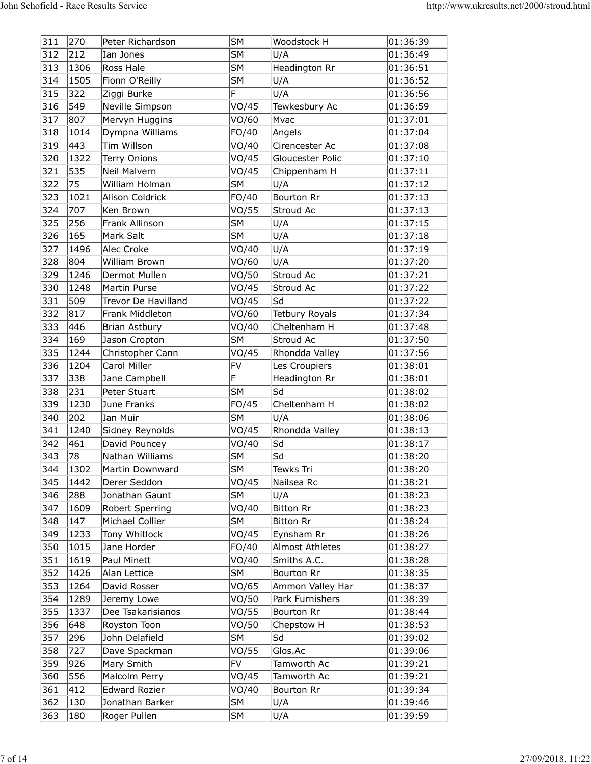|            | John Schofield - Race Results Service |                                  |                    |                                     |                                           |
|------------|---------------------------------------|----------------------------------|--------------------|-------------------------------------|-------------------------------------------|
|            |                                       |                                  |                    |                                     |                                           |
|            |                                       |                                  |                    |                                     | http://www.ukresults.net/2000/stroud.html |
|            |                                       |                                  |                    |                                     |                                           |
| 311<br>312 | 270<br>212                            | Peter Richardson<br>Ian Jones    | <b>SM</b><br>SM    | Woodstock H<br>U/A                  | 01:36:39<br>01:36:49                      |
| 313        | 1306                                  | Ross Hale                        | SM                 | Headington Rr                       | 01:36:51                                  |
| 314        | 1505                                  | Fionn O'Reilly                   | SM <br>F           | U/A                                 | 01:36:52                                  |
| 315<br>316 | 322<br>549                            | Ziggi Burke<br>Neville Simpson   | VO/45              | U/A<br>Tewkesbury Ac                | 01:36:56<br>01:36:59                      |
| 317        | 807                                   | Mervyn Huggins                   | VO/60              | Mvac                                | 01:37:01                                  |
| 318        | 1014                                  | Dympna Williams                  | FO/40              | Angels                              | 01:37:04                                  |
| 319<br>320 | 443<br>1322                           | Tim Willson<br>Terry Onions      | VO/40<br>VO/45     | Cirencester Ac<br>Gloucester Polic  | 01:37:08<br> 01:37:10                     |
| 321        | 535                                   | Neil Malvern                     | VO/45              | Chippenham H                        | 01:37:11                                  |
| 322        | 75                                    | William Holman                   | SM                 | U/A                                 | 01:37:12                                  |
| 323<br>324 | 1021<br>707                           | Alison Coldrick<br>Ken Brown     | FO/40<br>VO/55     | Bourton Rr<br>Stroud Ac             | 01:37:13<br> 01:37:13                     |
| 325        | 256                                   | Frank Allinson                   | SM                 | U/A                                 | 01:37:15                                  |
| 326        | 165                                   | Mark Salt                        | SM                 | U/A                                 | 01:37:18                                  |
| 327<br>328 | 1496<br>804                           | Alec Croke<br>William Brown      | VO/40<br>VO/60     | U/A<br>U/A                          | 01:37:19<br>01:37:20                      |
| 329        | 1246                                  | Dermot Mullen                    | VO/50              | Stroud Ac                           | 01:37:21                                  |
| 330        | 1248                                  | Martin Purse                     | VO/45              | Stroud Ac                           | 01:37:22                                  |
| 331        | 509                                   | Trevor De Havilland              | VO/45              | Sd                                  | 01:37:22                                  |
| 332<br>333 | 817<br>446                            | Frank Middleton<br>Brian Astbury | VO/60<br>VO/40     | Tetbury Royals<br>Cheltenham H      | 01:37:34<br>01:37:48                      |
| 334        | 169                                   | Jason Cropton                    | SM                 | Stroud Ac                           | 01:37:50                                  |
| 335        | 1244                                  | Christopher Cann                 | VO/45              | Rhondda Valley                      | 01:37:56                                  |
| 336<br>337 | 1204<br>338                           | Carol Miller<br>Jane Campbell    | FV<br>E.           | Les Croupiers<br>Headington Rr      | 01:38:01<br> 01:38:01                     |
| 338        | 231                                   | Peter Stuart                     | SM                 | Sd                                  | 01:38:02                                  |
| 339        | 1230                                  | June Franks                      | FO/45              | Cheltenham H                        | 01:38:02                                  |
| 340<br>341 | 202<br>1240                           | Ian Muir<br>Sidney Reynolds      | SM<br>VO/45        | U/A<br>Rhondda Valley               | 01:38:06<br> 01:38:13                     |
| 342        | 461                                   | David Pouncey                    | VO/40              | Sd                                  | 01:38:17                                  |
| 343        | 78                                    | Nathan Williams                  | SM                 | Sd                                  | 01:38:20                                  |
| 344<br>345 | 1302<br>1442                          | Martin Downward<br>Derer Seddon  | SM <br>VO/45       | Tewks Tri<br>Nailsea Rc             | 01:38:20<br> 01:38:21                     |
| 346        | 288                                   | Jonathan Gaunt                   | SM                 | U/A                                 | 01:38:23                                  |
| 347        | 1609                                  | Robert Sperring                  | VO/40              | Bitton Rr                           | 01:38:23                                  |
| 348        | 147                                   | Michael Collier                  | SM                 | Bitton Rr                           | 01:38:24                                  |
| 349<br>350 | 1233<br>1015                          | Tony Whitlock<br>Jane Horder     | VO/45<br>FO/40     | Eynsham Rr<br>Almost Athletes       | 01:38:26<br> 01:38:27                     |
| 351        | 1619                                  | Paul Minett                      | VO/40              | Smiths A.C.                         | 01:38:28                                  |
| 352        | 1426                                  | Alan Lettice                     | SM                 | Bourton Rr                          | 01:38:35                                  |
| 353<br>354 | 1264<br>1289                          | David Rosser<br>Jeremy Lowe      | VO/65<br>VO/50     | Ammon Valley Har<br>Park Furnishers | 01:38:37<br>01:38:39                      |
| 355        | 1337                                  | Dee Tsakarisianos                | VO/55              | Bourton Rr                          | 01:38:44                                  |
| 356        | 648                                   | Royston Toon                     | VO/50              | Chepstow <sub>H</sub>               | 01:38:53                                  |
| 357<br>358 | 296<br>727                            | John Delafield<br>Dave Spackman  | SM <br>VO/55       | Sd<br>Glos.Ac                       | 01:39:02<br>01:39:06                      |
| 359        | 926                                   | Mary Smith                       | FV                 | Tamworth Ac                         | 01:39:21                                  |
| 360        | 556                                   | Malcolm Perry                    | VO/45              | Tamworth Ac                         | 01:39:21                                  |
| 361<br>362 | 412<br>130                            | Edward Rozier<br>Jonathan Barker | VO/40<br><b>SM</b> | Bourton Rr<br>U/A                   | 01:39:34<br> 01:39:46                     |
| 363        | 180                                   | Roger Pullen                     | SM                 |                                     |                                           |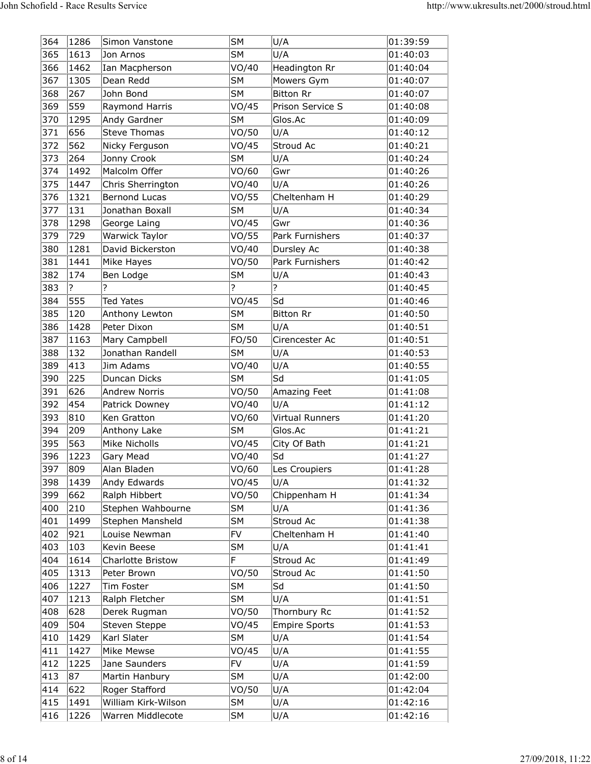|              |               |                                    |                        |                               | http://www.ukresults.net/2000/stroud.html |
|--------------|---------------|------------------------------------|------------------------|-------------------------------|-------------------------------------------|
|              |               |                                    |                        |                               |                                           |
| 364<br>365   | 1286<br>1613  | Simon Vanstone<br>Jon Arnos        | <b>SM</b><br><b>SM</b> | U/A<br>U/A                    | 01:39:59<br> 01:40:03                     |
| 366          | 1462          | Ian Macpherson                     | VO/40                  | Headington Rr                 | 01:40:04                                  |
| 367          | 1305          | Dean Redd                          | SM                     | Mowers Gym                    | 01:40:07                                  |
| 368          | 267           | John Bond                          | SM                     | Bitton Rr                     | 01:40:07                                  |
| 369          | 559           | Raymond Harris                     | VO/45<br> SM           | Prison Service S              | 01:40:08                                  |
| 370<br>371   | 1295<br>656   | Andy Gardner<br>Steve Thomas       | VO/50                  | Glos.Ac<br>U/A                | 01:40:09<br>01:40:12                      |
| 372          | 562           | Nicky Ferguson                     | VO/45                  | Stroud Ac                     | 01:40:21                                  |
| 373          | 264           | Jonny Crook                        | SM                     | U/A                           | 01:40:24                                  |
| 374          | 1492          | Malcolm Offer                      | VO/60                  | Gwr                           | 01:40:26                                  |
| 375<br>376   | 1447<br>1321  | Chris Sherrington<br>Bernond Lucas | VO/40<br>VO/55         | U/A<br>Cheltenham H           | 01:40:26<br> 01:40:29                     |
| 377          | 131           | Jonathan Boxall                    | SM                     | U/A                           | 01:40:34                                  |
| 378          | 1298          | George Laing                       | VO/45                  | Gwr                           | 01:40:36                                  |
| 379          | 729           | Warwick Taylor                     | VO/55                  | Park Furnishers               | 01:40:37                                  |
| 380<br>381   | 1281<br>1441  | David Bickerston<br>Mike Hayes     | VO/40<br>VO/50         | Dursley Ac<br>Park Furnishers | 01:40:38<br>01:40:42                      |
| 382          | 174           | Ben Lodge                          | SM                     | U/A                           | 01:40:43                                  |
| 383          | 2             |                                    |                        |                               | 01:40:45                                  |
| 384          | 555           | <b>Ted Yates</b>                   | VO/45                  | Sd                            | 01:40:46                                  |
| 385          | 120           | Anthony Lewton                     | SM                     | Bitton Rr                     | 01:40:50                                  |
| 386<br>387   | 1428<br> 1163 | Peter Dixon<br>Mary Campbell       | SM <br>FO/50           | U/A<br>Cirencester Ac         | 01:40:51<br> 01:40:51                     |
| 388          | 132           | Jonathan Randell                   | SM                     | U/A                           | 01:40:53                                  |
| 389          | 413           | Jim Adams                          | VO/40                  | U/A                           | 01:40:55                                  |
| 390          | 225           | Duncan Dicks                       | SM                     | Sd                            | 01:41:05                                  |
| 391<br>392   | 626<br>454    | Andrew Norris<br>Patrick Downey    | VO/50<br>VO/40         | Amazing Feet<br>U/A           | 01:41:08<br> 01:41:12                     |
| 393          | 810           | Ken Gratton                        | VO/60                  | Virtual Runners               | 01:41:20                                  |
| 394          | 209           | Anthony Lake                       | SM                     | Glos.Ac                       | 01:41:21                                  |
| 395          | 563           | Mike Nicholls                      | VO/45                  | City Of Bath                  | 01:41:21                                  |
| 396<br>397   | 1223<br>809   | Gary Mead<br>Alan Bladen           | VO/40                  | Sd                            | 01:41:27                                  |
| 398          | 1439          | Andy Edwards                       | VO/60<br>VO/45         | Les Croupiers<br>U/A          | 01:41:28<br>01:41:32                      |
| 399          | 662           | Ralph Hibbert                      | VO/50                  | Chippenham H                  | 01:41:34                                  |
| 400          | 210           | Stephen Wahbourne                  | SM                     | U/A                           | 01:41:36                                  |
| 401          | 1499          | Stephen Mansheld                   | SM                     | Stroud Ac                     | 01:41:38                                  |
| 402<br>403   | 921<br>103    | Louise Newman<br>Kevin Beese       | FV<br><b>SM</b>        | Cheltenham H<br>U/A           | 01:41:40<br> 01:41:41                     |
| 404          | 1614          | Charlotte Bristow                  | F                      | Stroud Ac                     | 01:41:49                                  |
| 405          | 1313          | Peter Brown                        | VO/50                  | Stroud Ac                     | 01:41:50                                  |
| 406          | 1227          | Tim Foster                         | SM                     | Sd                            | 01:41:50                                  |
| 407<br>408   | 1213<br>628   | Ralph Fletcher<br>Derek Rugman     | SM <br>VO/50           | U/A<br>Thornbury Rc           | 01:41:51<br> 01:41:52                     |
| $\sqrt{409}$ | 504           | Steven Steppe                      | VO/45                  | Empire Sports                 | 01:41:53                                  |
| 410          | 1429          | Karl Slater                        | SM                     | U/A                           | 01:41:54                                  |
| 411          | 1427          | Mike Mewse                         | VO/45                  | U/A                           | 01:41:55                                  |
| 412<br>413   | 1225<br>87    | Jane Saunders                      | FV<br>SM               | U/A                           | 01:41:59                                  |
| 414          | 622           | Martin Hanbury<br>Roger Stafford   | VO/50                  | U/A<br>U/A                    | 01:42:00<br>01:42:04                      |
| 415          | 1491          | William Kirk-Wilson                | SM                     | U/A                           | 01:42:16                                  |
| 416          | 1226          | Warren Middlecote                  | SM                     | U/A                           | 01:42:16                                  |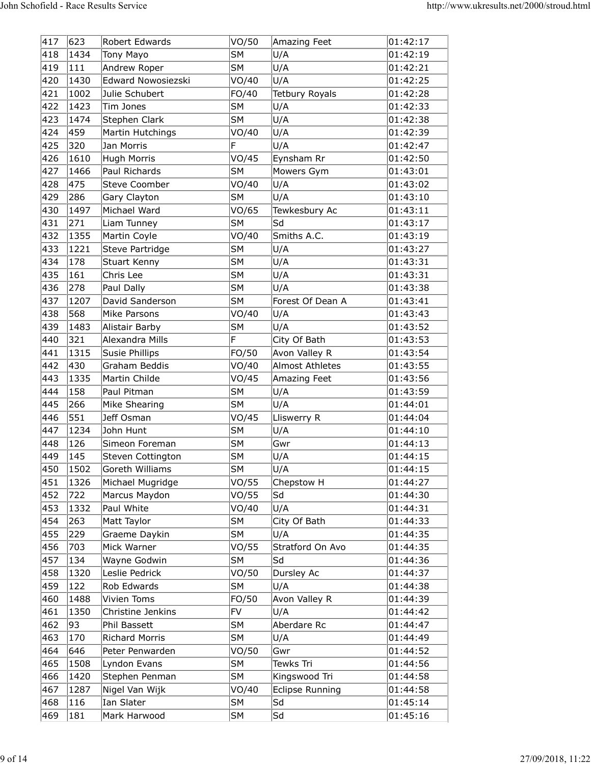|                      |              | John Schofield - Race Results Service |                |                                  |                                           |
|----------------------|--------------|---------------------------------------|----------------|----------------------------------|-------------------------------------------|
|                      |              |                                       |                |                                  | http://www.ukresults.net/2000/stroud.html |
| 417                  | 623          | Robert Edwards                        | VO/50          | Amazing Feet                     | 01:42:17                                  |
| 418                  | 1434         | Tony Mayo                             | <b>SM</b>      | U/A                              | 01:42:19                                  |
| 419                  | 111          | Andrew Roper                          | SM             | U/A                              | 01:42:21                                  |
| 420<br>421           | 1430<br>1002 | Edward Nowosiezski<br>Julie Schubert  | VO/40<br>FO/40 | U/A<br><b>Tetbury Royals</b>     | 01:42:25<br>01:42:28                      |
| 422                  | 1423         | Tim Jones                             | SM             | U/A                              | 01:42:33                                  |
| 423                  | 1474         | Stephen Clark                         | SM             | U/A                              | 01:42:38                                  |
| 424                  | 459          | Martin Hutchings                      | VO/40          | U/A                              | 01:42:39                                  |
| 425<br>426           | 320<br>1610  | Jan Morris<br>Hugh Morris             | VO/45          | U/A<br>Eynsham Rr                | 01:42:47<br>01:42:50                      |
| 427                  | 1466         | Paul Richards                         | SM             | Mowers Gym                       | 01:43:01                                  |
| 428                  | 475          | Steve Coomber                         | VO/40          | U/A                              | 01:43:02                                  |
| 429                  | 286          | Gary Clayton                          | <b>SM</b>      | U/A                              | 01:43:10                                  |
| 430<br>431           | 1497<br>271  | Michael Ward<br>Liam Tunney           | VO/65<br>SM    | Tewkesbury Ac<br> Sd             | 01:43:11<br> 01:43:17                     |
| 432                  | 1355         | Martin Coyle                          | VO/40          | Smiths A.C.                      | 01:43:19                                  |
| 433                  | 1221         | Steve Partridge                       | <b>SM</b>      | U/A                              | 01:43:27                                  |
| 434                  | 178          | Stuart Kenny                          | SM             | U/A                              | 01:43:31                                  |
| $ 435\rangle$<br>436 | 161<br>278   | Chris Lee<br>Paul Dally               | SM <br>SM      | U/A<br>U/A                       | 01:43:31<br> 01:43:38                     |
| 437                  | 1207         | David Sanderson                       | SM             | Forest Of Dean A                 | 01:43:41                                  |
| 438                  | 568          | Mike Parsons                          | VO/40          | U/A                              | 01:43:43                                  |
| 439                  | 1483         | Alistair Barby                        | SM             | U/A                              | $ 01:43:52\rangle$                        |
| 440<br>441           | 321<br>1315  | Alexandra Mills<br>Susie Phillips     | F.<br>FO/50    | City Of Bath<br>Avon Valley R    | 01:43:53<br> 01:43:54                     |
| 442                  | 430          | Graham Beddis                         | VO/40          | Almost Athletes                  | 01:43:55                                  |
| 443                  | 1335         | Martin Childe                         | VO/45          | Amazing Feet                     | 01:43:56                                  |
| 444                  | 158          | Paul Pitman                           | SM             | U/A                              | 01:43:59                                  |
| 445 <br>446          | 266<br>551   | Mike Shearing<br>Jeff Osman           | SM <br>VO/45   | U/A<br>Lliswerry R               | 01:44:01<br> 01:44:04                     |
| 447                  | 1234         | John Hunt                             | SM             | U/A                              | 01:44:10                                  |
| 448                  | 126          | Simeon Foreman                        | SM             | Gwr                              | 01:44:13                                  |
| 449                  | 145          | Steven Cottington                     | SM             | U/A                              | 01:44:15                                  |
| 450<br>451           | 1502<br>1326 | Goreth Williams<br>Michael Mugridge   | SM <br>VO/55   | U/A<br>Chepstow H                | 01:44:15<br>01:44:27                      |
| 452                  | 722          | Marcus Maydon                         | VO/55          | Sd                               | 01:44:30                                  |
| 453                  | 1332         | Paul White                            | VO/40          | U/A                              | 01:44:31                                  |
| 454                  | 263          | Matt Taylor                           | SM             | City Of Bath                     | 01:44:33                                  |
| 455<br>456           | 229<br>703   | Graeme Daykin<br>Mick Warner          | SM             | U/A<br>Stratford On Avo          | 01:44:35                                  |
| 457                  | 134          | Wayne Godwin                          | VO/55<br>SM    | Sd                               | 01:44:35<br>01:44:36                      |
| 458                  | 1320         | Leslie Pedrick                        | VO/50          | Dursley Ac                       | 01:44:37                                  |
| 459                  | 122          | Rob Edwards                           | SM             | U/A                              | 01:44:38                                  |
| 460<br>461           | 1488<br>1350 | Vivien Toms<br>Christine Jenkins      | FO/50<br>∣FV   | Avon Valley R<br>U/A             | 01:44:39<br>01:44:42                      |
| $\sqrt{462}$         | 93           | Phil Bassett                          | SM             | Aberdare Rc                      | 01:44:47                                  |
| 463                  | 170          | Richard Morris                        | SM             | U/A                              | 01:44:49                                  |
| 464                  | 646          | Peter Penwarden                       | VO/50          | Gwr                              | $ 01:44:52\rangle$                        |
| 465                  | 1508         | Lyndon Evans                          | SM             | Tewks Tri                        | 01:44:56                                  |
| 466<br>467           | 1420<br>1287 | Stephen Penman<br>Nigel Van Wijk      | SM <br>VO/40   | Kingswood Tri<br>Eclipse Running | 01:44:58<br> 01:44:58                     |
| 468                  | 116          | Ian Slater                            | SM             | Sd                               | 01:45:14                                  |
| 469                  | 181          | Mark Harwood                          | SM             | Sd                               | 01:45:16                                  |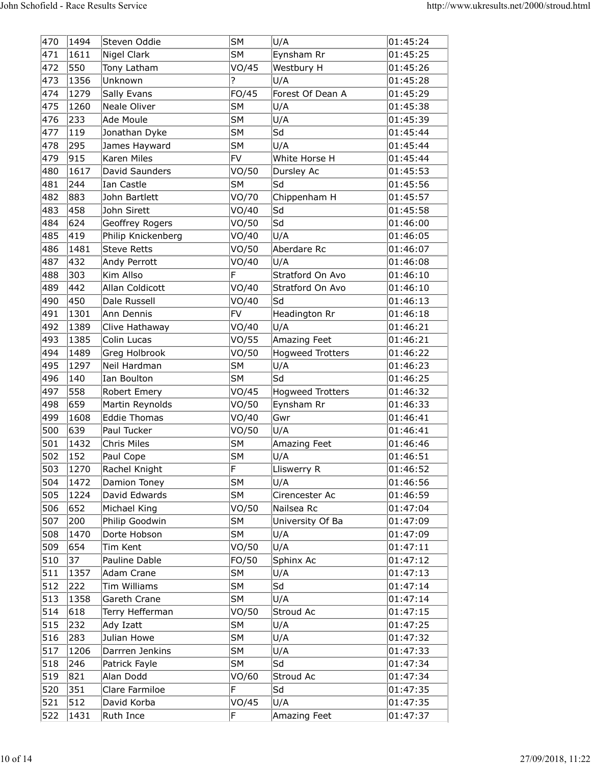|                  |               | John Schofield - Race Results Service |                  |                                       |                                           |
|------------------|---------------|---------------------------------------|------------------|---------------------------------------|-------------------------------------------|
|                  |               |                                       |                  |                                       | http://www.ukresults.net/2000/stroud.html |
| 470              | 1494          | Steven Oddie                          | <b>SM</b>        | U/A                                   | 01:45:24                                  |
| 471              | 1611          | Nigel Clark                           | <b>SM</b>        | Eynsham Rr                            | 01:45:25                                  |
| 472<br>473       | 550<br>1356   | Tony Latham<br>Unknown                | VO/45            | Westbury H<br>U/A                     | 01:45:26<br>01:45:28                      |
| 474              | 1279          | Sally Evans                           | FO/45            | Forest Of Dean A                      | 01:45:29                                  |
| 475              | 1260          | Neale Oliver                          | SM               | U/A                                   | 01:45:38                                  |
| 476              | 233           | Ade Moule                             | <b>SM</b>        | U/A                                   | 01:45:39                                  |
| 477<br>478       | 119<br>295    | Jonathan Dyke<br>James Hayward        | SM <br>SM        | Sd<br>U/A                             | 01:45:44<br>01:45:44                      |
| 479              | 915           | Karen Miles                           | FV               | White Horse H                         | 01:45:44                                  |
| 480              | 1617          | David Saunders                        | VO/50            | Dursley Ac                            | 01:45:53                                  |
| 481              | 244           | Ian Castle                            | <b>SM</b>        | Sd                                    | 01:45:56                                  |
| 482<br>483       | 883<br>458    | John Bartlett<br>John Sirett          | VO/70<br>VO/40   | Chippenham H<br> Sd                   | 01:45:57<br> 01:45:58                     |
| 484              | 624           | Geoffrey Rogers                       | VO/50            | Sd                                    | 01:46:00                                  |
| 485              | 419           | Philip Knickenberg                    | VO/40            | U/A                                   | 01:46:05                                  |
| 486              | 1481          | Steve Retts                           | VO/50            | Aberdare Rc                           | 01:46:07                                  |
| 487 <br>488      | 432<br>303    | Andy Perrott<br>Kim Allso             | VO/40<br>F.      | U/A<br>Stratford On Avo               | 01:46:08<br> 01:46:10                     |
| 489              | 442           | Allan Coldicott                       | VO/40            | Stratford On Avo                      | 01:46:10                                  |
| 490              | 450           | Dale Russell                          | VO/40            | Sd                                    | 01:46:13                                  |
| 491              | 1301          | Ann Dennis                            | FV               | Headington Rr                         | 01:46:18                                  |
| 492<br>493       | 1389<br>1385  | Clive Hathaway<br>Colin Lucas         | VO/40<br>VO/55   | U/A<br>Amazing Feet                   | 01:46:21<br> 01:46:21                     |
| 494              | 1489          | Greg Holbrook                         | VO/50            | <b>Hogweed Trotters</b>               | 01:46:22                                  |
| 495              | 1297          | Neil Hardman                          | SM               | U/A                                   | 01:46:23                                  |
| 496              | 140           | Ian Boulton                           | SM               | Sd                                    | 01:46:25                                  |
| 497 <br>498      | 558<br>659    | Robert Emery<br>Martin Reynolds       | VO/45<br>VO/50   | <b>Hogweed Trotters</b><br>Eynsham Rr | 01:46:32<br> 01:46:33                     |
| 499              | 1608          | Eddie Thomas                          | VO/40            | Gwr                                   | 01:46:41                                  |
| 500              | 639           | Paul Tucker                           | VO/50            | U/A                                   | 01:46:41                                  |
| 501              | 1432          | Chris Miles                           | SM               | Amazing Feet                          | 01:46:46                                  |
| 502<br>503       | 152<br>1270   | Paul Cope<br>Rachel Knight            | SM <br>F         | U/A<br>Lliswerry R                    | 01:46:51<br>01:46:52                      |
| 504              | 1472          | Damion Toney                          | SM               | U/A                                   | 01:46:56                                  |
| 505              | 1224          | David Edwards                         | SM               | Cirencester Ac                        | 01:46:59                                  |
| 506              | 652           | Michael King                          | VO/50            | Nailsea Rc                            | 01:47:04                                  |
| 507<br>508       | 200<br> 1470  | Philip Goodwin<br>Dorte Hobson        | SM <br>SM        | University Of Ba<br>U/A               | 01:47:09<br> 01:47:09                     |
| 509              | 654           | Tim Kent                              | VO/50            | U/A                                   | 01:47:11                                  |
| 510              | 37            | Pauline Dable                         | FO/50            | Sphinx Ac                             | 01:47:12                                  |
| 511<br>512       | 1357<br>222   | Adam Crane<br>Tim Williams            | SM <br>SM        | U/A<br> Sd                            | 01:47:13                                  |
| 513              | 1358          | Gareth Crane                          | SM               | U/A                                   | 01:47:14<br> 01:47:14                     |
| 514              | $ 618\rangle$ | Terry Hefferman                       | VO/50            | Stroud Ac                             | 01:47:15                                  |
| $\overline{515}$ | 232           | Ady Izatt                             | SM               | U/A                                   | 01:47:25                                  |
| 516<br>517       | 283<br>1206   | Julian Howe                           | SM <br><b>SM</b> | U/A                                   | 01:47:32                                  |
| 518              | 246           | Darrren Jenkins<br>Patrick Fayle      | SM               | U/A<br> Sd                            | 01:47:33<br> 01:47:34                     |
| 519              | 821           | Alan Dodd                             | VO/60            | Stroud Ac                             | 01:47:34                                  |
| 520              | 351           | Clare Farmiloe                        | F                | Sd                                    | 01:47:35                                  |
| 521              | 512           | David Korba                           | VO/45            | U/A                                   | 01:47:35                                  |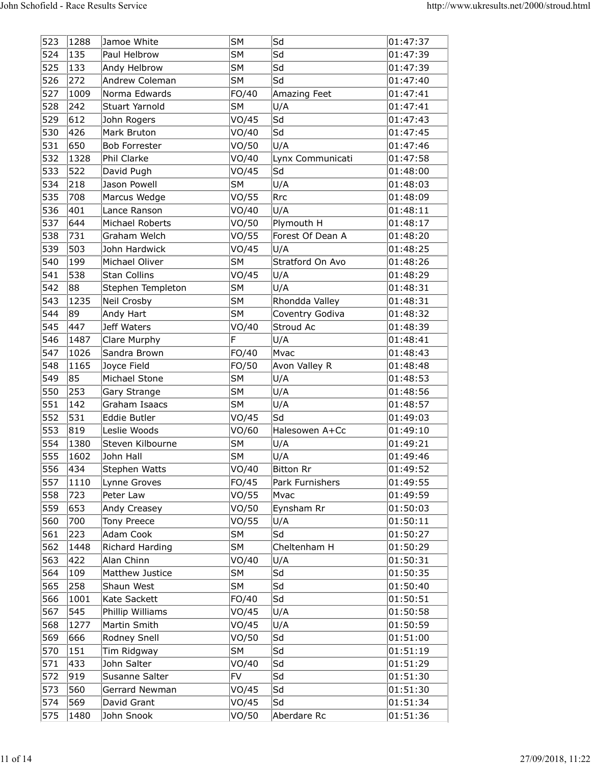|            |              | John Schofield - Race Results Service |                  |                                | http://www.ukresults.net/2000/stroud.html |
|------------|--------------|---------------------------------------|------------------|--------------------------------|-------------------------------------------|
|            |              |                                       |                  |                                |                                           |
| 523        | 1288         | Jamoe White                           | <b>SM</b>        | Sd                             | 01:47:37                                  |
| 524        | 135<br>133   | Paul Helbrow                          | <b>SM</b><br> SM | Sd<br>$\overline{\mathsf{Sd}}$ | 01:47:39                                  |
| 525<br>526 | 272          | Andy Helbrow<br>Andrew Coleman        | SM               | Sd                             | 01:47:39<br>01:47:40                      |
| 527        | 1009         | Norma Edwards                         | FO/40            | Amazing Feet                   | 01:47:41                                  |
| 528        | 242          | Stuart Yarnold                        | SM               | U/A                            | 01:47:41                                  |
| 529<br>530 | 612<br>426   | John Rogers<br>Mark Bruton            | VO/45<br>VO/40   | Sd<br> Sd                      | 01:47:43<br>01:47:45                      |
| 531        | 650          | Bob Forrester                         | VO/50            | U/A                            | 01:47:46                                  |
| 532        | 1328         | Phil Clarke                           | VO/40            | Lynx Communicati               | 01:47:58                                  |
| 533        | 522          | David Pugh                            | VO/45            | Sd                             | 01:48:00                                  |
| 534        | 218          | Jason Powell                          | SM               | U/A                            | 01:48:03                                  |
| 535<br>536 | 708<br>401   | Marcus Wedge<br>Lance Ranson          | VO/55<br>VO/40   | Rrc <br>U/A                    | 01:48:09<br> 01:48:11                     |
| 537        | 644          | Michael Roberts                       | VO/50            | Plymouth H                     | 01:48:17                                  |
| 538        | 731          | Graham Welch                          | VO/55            | Forest Of Dean A               | 01:48:20                                  |
| 539        | 503          | John Hardwick                         | VO/45            | U/A                            | 01:48:25                                  |
| 540<br>541 | 199<br>538   | Michael Oliver<br>Stan Collins        | SM <br>VO/45     | Stratford On Avo<br>U/A        | 01:48:26<br>01:48:29                      |
| 542        | 88           | Stephen Templeton                     | SM               | U/A                            | 01:48:31                                  |
| 543        | 1235         | Neil Crosby                           | SM               | Rhondda Valley                 | 01:48:31                                  |
| 544        | 89           | Andy Hart                             | SM               | Coventry Godiva                | 01:48:32                                  |
| 545        | 447          | Jeff Waters                           | VO/40<br>F       | Stroud Ac                      | 01:48:39                                  |
| 546<br>547 | 1487<br>1026 | Clare Murphy<br>Sandra Brown          | FO/40            | U/A<br>Mvac                    | 01:48:41<br> 01:48:43                     |
| 548        | 1165         | Joyce Field                           | FO/50            | Avon Valley R                  | 01:48:48                                  |
| 549        | 85           | Michael Stone                         | SM               | U/A                            | 01:48:53                                  |
| 550        | 253          | Gary Strange                          | SM               | U/A                            | 01:48:56                                  |
| 551<br>552 | 142<br>531   | Graham Isaacs<br>Eddie Butler         | SM <br>VO/45     | U/A<br> Sd                     | 01:48:57<br> 01:49:03                     |
| 553        | 819          | Leslie Woods                          | VO/60            | Halesowen A+Cc                 | 01:49:10                                  |
| 554        | 1380         | Steven Kilbourne                      | SM               | U/A                            | 01:49:21                                  |
| 555        | 1602         | John Hall                             | SM               | U/A                            | 01:49:46                                  |
| 556        | 434          | Stephen Watts                         | VO/40            | Bitton Rr                      | 01:49:52                                  |
| 557<br>558 | 1110<br>723  | Lynne Groves<br>Peter Law             | FO/45<br>VO/55   | Park Furnishers<br>Mvac        | 01:49:55<br>01:49:59                      |
| 559        | 653          | Andy Creasey                          | VO/50            | Eynsham Rr                     | 01:50:03                                  |
| 560        | 700          | Tony Preece                           | VO/55            | U/A                            | 01:50:11                                  |
| 561        | 223          | Adam Cook                             | SM               | Sd                             | 01:50:27                                  |
| 562<br>563 | 1448<br>422  | Richard Harding<br>Alan Chinn         | SM <br>VO/40     | Cheltenham H<br>U/A            | 01:50:29<br> 01:50:31                     |
| 564        | 109          | Matthew Justice                       | SM               | Sd                             | 01:50:35                                  |
| 565        | 258          | Shaun West                            | SM               | Sd                             | 01:50:40                                  |
| 566        | 1001         | Kate Sackett                          | FO/40            | Sd                             | 01:50:51                                  |
| 567<br>568 | 545<br>1277  | Phillip Williams<br>Martin Smith      | VO/45<br>VO/45   | U/A<br>$\sqrt{U/A}$            | 01:50:58<br>01:50:59                      |
| 569        | 666          | Rodney Snell                          | VO/50            | Sd                             | 01:51:00                                  |
| 570        | 151          | Tim Ridgway                           | SM               | Sd                             | 01:51:19                                  |
| 571        | 433          | John Salter                           | VO/40            | $\overline{\mathsf{Sd}}$       | 01:51:29                                  |
| 572        | 919          | Susanne Salter                        | FV               | Sd                             | 01:51:30                                  |
| 573<br>574 | 560<br>569   | Gerrard Newman<br>David Grant         | VO/45<br>VO/45   | Sd<br> Sd                      | 01:51:30<br> 01:51:34                     |
|            | 1480         | John Snook                            | VO/50            | Aberdare Rc                    | 01:51:36                                  |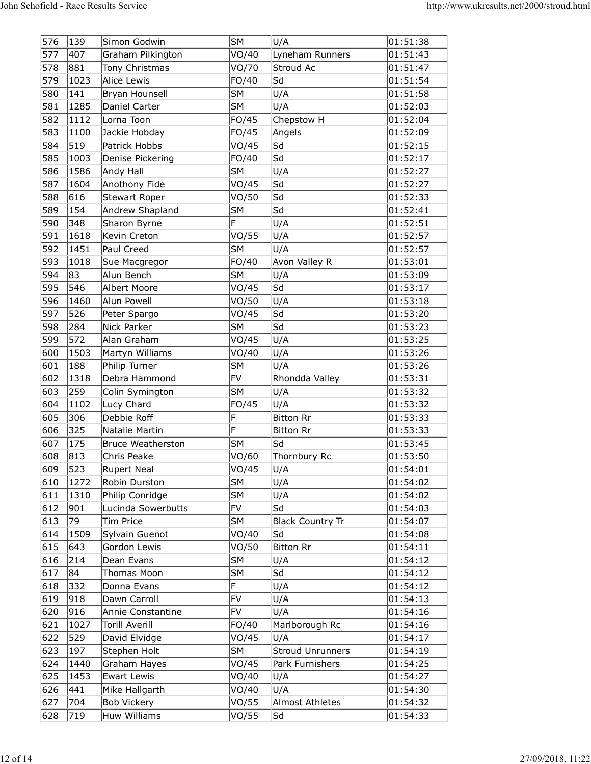|             |               | John Schofield - Race Results Service |                |                          | http://www.ukresults.net/2000/stroud.html |
|-------------|---------------|---------------------------------------|----------------|--------------------------|-------------------------------------------|
|             |               |                                       |                |                          |                                           |
| 576         | 139           | Simon Godwin                          | <b>SM</b>      | U/A                      | 01:51:38                                  |
| 577         | 407           | Graham Pilkington                     | VO/40          | Lyneham Runners          | 01:51:43                                  |
| 578<br>579  | 881<br>1023   | Tony Christmas<br>Alice Lewis         | VO/70<br>FO/40 | Stroud Ac<br> Sd         | 01:51:47<br> 01:51:54                     |
| 580         | $ 141\rangle$ | Bryan Hounsell                        | SM             | U/A                      | 01:51:58                                  |
| 581         | 1285          | Daniel Carter                         | SM             | U/A                      | 01:52:03                                  |
| 582<br>583  | 1112<br> 1100 | Lorna Toon                            | FO/45<br>FO/45 | Chepstow H               | 01:52:04<br> 01:52:09                     |
| 584         | 519           | Jackie Hobday<br>Patrick Hobbs        | VO/45          | Angels<br> Sd            | 01:52:15                                  |
| 585         | 1003          | Denise Pickering                      | FO/40          | Sd                       | 01:52:17                                  |
| 586         | 1586          | Andy Hall                             | SM             | U/A                      | 01:52:27                                  |
| 587         | 1604          | Anothony Fide                         | VO/45          | Sd                       | 01:52:27                                  |
| 588<br>589  | 616<br>154    | Stewart Roper<br>Andrew Shapland      | VO/50<br>SM    | Sd<br> Sd                | 01:52:33<br> 01:52:41                     |
| 590         | 348           | Sharon Byrne                          | F.             | U/A                      | 01:52:51                                  |
| 591         | 1618          | Kevin Creton                          | VO/55          | U/A                      | 01:52:57                                  |
| 592         | 1451          | Paul Creed                            | <b>SM</b>      | U/A                      | 01:52:57                                  |
| 593<br>594  | 1018<br>83    | Sue Macgregor<br>Alun Bench           | FO/40<br>SM    | Avon Valley R<br>U/A     | 01:53:01<br> 01:53:09                     |
| 595         | 546           | Albert Moore                          | VO/45          | Sd                       | 01:53:17                                  |
| 596         | 1460          | Alun Powell                           | VO/50          | U/A                      | 01:53:18                                  |
| 597         | 526           | Peter Spargo                          | VO/45          | Sd                       | 01:53:20                                  |
| 598         | 284           | Nick Parker                           | SM             | $\overline{\mathsf{Sd}}$ | 01:53:23                                  |
| 599 <br>600 | 572<br>1503   | Alan Graham<br>Martyn Williams        | VO/45<br>VO/40 | U/A<br>U/A               | 01:53:25<br> 01:53:26                     |
| 601         | 188           | Philip Turner                         | SM             | U/A                      | 01:53:26                                  |
| 602         | 1318          | Debra Hammond                         | FV             | Rhondda Valley           | 01:53:31                                  |
| 603         | 259           | Colin Symington                       | SM             | U/A                      | 01:53:32                                  |
| 604<br>605  | 1102<br>306   | Lucy Chard<br>Debbie Roff             | FO/45<br>F     | U/A<br>Bitton Rr         | 01:53:32<br> 01:53:33                     |
| 606         | 325           | Natalie Martin                        | E              | Bitton Rr                | 01:53:33                                  |
| 607         | 175           | Bruce Weatherston                     | SM             | Sd                       | 01:53:45                                  |
| 608         | 813           | Chris Peake                           | VO/60          | Thornbury Rc             | 01:53:50                                  |
| 609<br>610  | 523<br>1272   | Rupert Neal<br>Robin Durston          | VO/45<br>SM    | U/A<br>U/A               | 01:54:01<br> 01:54:02                     |
| 611         | 1310          | Philip Conridge                       | SM             | U/A                      | $ 01:54:02\rangle$                        |
| 612         | 901           | Lucinda Sowerbutts                    | FV             | Sd                       | 01:54:03                                  |
| 613         | 79            | Tim Price                             | SM             | Black Country Tr         | 01:54:07                                  |
| 614         | 1509          | Sylvain Guenot                        | VO/40          | Sd                       | 01:54:08                                  |
| 615<br>616  | 643<br> 214   | Gordon Lewis<br>Dean Evans            | VO/50<br> SM   | Bitton Rr<br>U/A         | 01:54:11<br> 01:54:12                     |
| 617         | 84            | Thomas Moon                           | SM             | Sd                       | 01:54:12                                  |
| 618         | 332           | Donna Evans                           | E              | U/A                      | 01:54:12                                  |
| 619         | 918           | Dawn Carroll                          | ∣FV            | U/A                      | 01:54:13                                  |
| 620<br>621  | 916<br>1027   | Annie Constantine<br>Torill Averill   | ∣FV<br>FO/40   | U/A<br>Marlborough Rc    | 01:54:16<br>01:54:16                      |
| 622         | 529           | David Elvidge                         | VO/45          | U/A                      | 01:54:17                                  |
| 623         | 197           | Stephen Holt                          | SM             | Stroud Unrunners         | 01:54:19                                  |
| 624         | 1440          | Graham Hayes                          | VO/45          | Park Furnishers          | 01:54:25                                  |
| 625<br>626  | 1453<br>441   | Ewart Lewis<br>Mike Hallgarth         | VO/40<br>VO/40 | U/A<br>U/A               | 01:54:27<br> 01:54:30                     |
| 627         | 704           | Bob Vickery                           | VO/55          | Almost Athletes          | 01:54:32                                  |
| 628         | 719           | Huw Williams                          |                | Sd                       | 01:54:33                                  |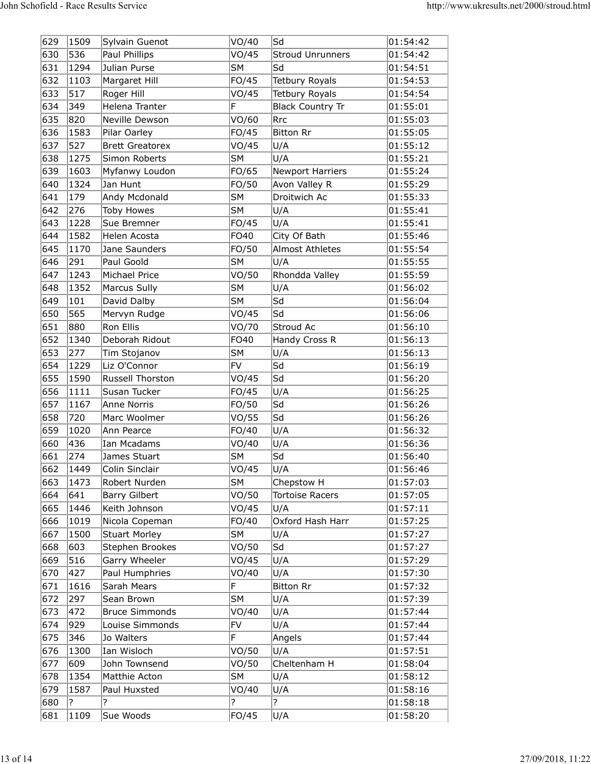|            |              | John Schofield - Race Results Service |                |                                                |                                           |  |  |
|------------|--------------|---------------------------------------|----------------|------------------------------------------------|-------------------------------------------|--|--|
|            |              |                                       |                |                                                | http://www.ukresults.net/2000/stroud.html |  |  |
| 629        | 1509         | Sylvain Guenot                        | VO/40          | Sd                                             | 01:54:42                                  |  |  |
| 630        | 536          | Paul Phillips                         | VO/45          | Stroud Unrunners                               | 01:54:42                                  |  |  |
| 631<br>632 | 1294         | Julian Purse                          | SM             | Sd                                             | 01:54:51                                  |  |  |
| 633        | 1103<br>517  | Margaret Hill<br>Roger Hill           | FO/45<br>VO/45 | <b>Tetbury Royals</b><br><b>Tetbury Royals</b> | 01:54:53<br> 01:54:54                     |  |  |
| 634        | 349          | Helena Tranter                        | E              | Black Country Tr                               | 01:55:01                                  |  |  |
| 635        | 820          | Neville Dewson                        | VO/60          | Rrc                                            | 01:55:03                                  |  |  |
| 636<br>637 | 1583<br>527  | Pilar Oarley<br>Brett Greatorex       | FO/45          | Bitton Rr                                      | 01:55:05                                  |  |  |
| 638        | 1275         | Simon Roberts                         | VO/45<br>SM    | U/A<br>U/A                                     | 01:55:12<br> 01:55:21                     |  |  |
| 639        | 1603         | Myfanwy Loudon                        | FO/65          | Newport Harriers                               | 01:55:24                                  |  |  |
| 640        | 1324         | Jan Hunt                              | FO/50          | Avon Valley R                                  | 01:55:29                                  |  |  |
| 641        | 179          | Andy Mcdonald                         | SM             | Droitwich Ac                                   | 01:55:33                                  |  |  |
| 642<br>643 | 276<br>1228  | Toby Howes<br>Sue Bremner             | SM <br>FO/45   | U/A<br>U/A                                     | 01:55:41<br> 01:55:41                     |  |  |
| 644        | 1582         | Helen Acosta                          | FO40           | City Of Bath                                   | 01:55:46                                  |  |  |
| 645        | 1170         | Jane Saunders                         | FO/50          | Almost Athletes                                | 01:55:54                                  |  |  |
| 646        | 291          | Paul Goold                            | SM             | U/A                                            | 01:55:55                                  |  |  |
| 647<br>648 | 1243<br>1352 | Michael Price<br>Marcus Sully         | VO/50<br>SM    | Rhondda Valley<br>U/A                          | 01:55:59<br> 01:56:02                     |  |  |
| 649        | 101          | David Dalby                           | SM             | Sd                                             | 01:56:04                                  |  |  |
| 650        | 565          | Mervyn Rudge                          | VO/45          | <b>S</b> d                                     | 01:56:06                                  |  |  |
| 651        | 880          | Ron Ellis                             | VO/70          | Stroud Ac                                      | 01:56:10                                  |  |  |
| 652        | 1340<br>277  | Deborah Ridout                        | FO40           | Handy Cross R                                  | 01:56:13                                  |  |  |
| 653<br>654 | 1229         | Tim Stojanov<br>Liz O'Connor          | SM<br> FV      | U/A<br> Sd                                     | 01:56:13<br> 01:56:19                     |  |  |
| 655        | 1590         | Russell Thorston                      | VO/45          | Sd                                             | 01:56:20                                  |  |  |
| 656        | 1111         | Susan Tucker                          | FO/45          | U/A                                            | 01:56:25                                  |  |  |
| 657        | 1167         | Anne Norris                           | FO/50          | Sd                                             | 01:56:26                                  |  |  |
| 658<br>659 | 720<br>1020  | Marc Woolmer<br>Ann Pearce            | VO/55<br>FO/40 | Sd <br>U/A                                     | 01:56:26<br>01:56:32                      |  |  |
| 660        | 436          | Ian Mcadams                           | VO/40          | U/A                                            | 01:56:36                                  |  |  |
| 661        | 274          | James Stuart                          | SM             | Sd                                             | 01:56:40                                  |  |  |
| 662        | 1449         | Colin Sinclair                        | VO/45          | U/A                                            | 01:56:46                                  |  |  |
| 663<br>664 | 1473<br>641  | Robert Nurden<br>Barry Gilbert        | SM <br>VO/50   | Chepstow H<br><b>Tortoise Racers</b>           | 01:57:03<br> 01:57:05                     |  |  |
| 665        | 1446         | Keith Johnson                         | VO/45          | U/A                                            | 01:57:11                                  |  |  |
| 666        | 1019         | Nicola Copeman                        | FO/40          | Oxford Hash Harr                               | 01:57:25                                  |  |  |
| 667        | 1500         | Stuart Morley                         | SM             | U/A                                            | 01:57:27                                  |  |  |
| 668<br>669 | 603<br>516   | Stephen Brookes<br>Garry Wheeler      | VO/50<br>VO/45 | Sd <br>U/A                                     | 01:57:27<br> 01:57:29                     |  |  |
| 670        | 427          | Paul Humphries                        | VO/40          | U/A                                            | 01:57:30                                  |  |  |
| 671        | 1616         | Sarah Mears                           | E              | Bitton Rr                                      | 01:57:32                                  |  |  |
| 672        | 297          | Sean Brown                            | SM             | U/A                                            | 01:57:39                                  |  |  |
| 673<br>674 | 472<br>929   | Bruce Simmonds<br>Louise Simmonds     | VO/40<br> FV   | U/A<br>U/A                                     | 01:57:44<br>01:57:44                      |  |  |
| 675        | 346          | Jo Walters                            | F.             | Angels                                         | 01:57:44                                  |  |  |
| 676        | 1300         | Ian Wisloch                           | VO/50          | U/A                                            | 01:57:51                                  |  |  |
| 677        | 609          | John Townsend                         | VO/50          | Cheltenham H                                   | 01:58:04                                  |  |  |
| 678<br>679 | 1354<br>1587 | Matthie Acton<br>Paul Huxsted         | SM             | U/A                                            | 01:58:12<br> 01:58:16                     |  |  |
| 680        | 2            | 12                                    | VO/40<br>כ!    | U/A<br>2                                       | 01:58:18                                  |  |  |
|            | 1109         | Sue Woods                             | FO/45          |                                                |                                           |  |  |